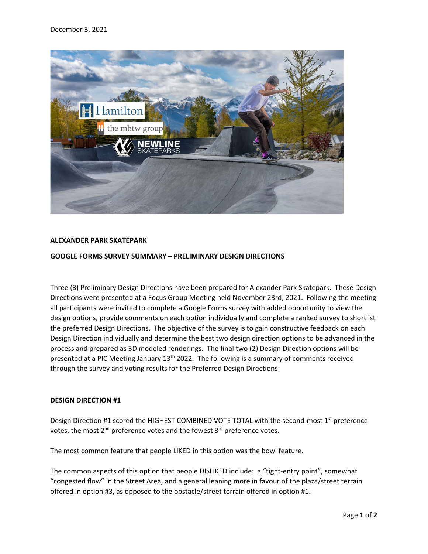

# **ALEXANDER PARK SKATEPARK**

# **GOOGLE FORMS SURVEY SUMMARY – PRELIMINARY DESIGN DIRECTIONS**

Three (3) Preliminary Design Directions have been prepared for Alexander Park Skatepark. These Design Directions were presented at a Focus Group Meeting held November 23rd, 2021. Following the meeting all participants were invited to complete a Google Forms survey with added opportunity to view the design options, provide comments on each option individually and complete a ranked survey to shortlist the preferred Design Directions. The objective of the survey is to gain constructive feedback on each Design Direction individually and determine the best two design direction options to be advanced in the process and prepared as 3D modeled renderings. The final two (2) Design Direction options will be presented at a PIC Meeting January  $13<sup>th</sup>$  2022. The following is a summary of comments received through the survey and voting results for the Preferred Design Directions:

## **DESIGN DIRECTION #1**

Design Direction #1 scored the HIGHEST COMBINED VOTE TOTAL with the second-most 1<sup>st</sup> preference votes, the most  $2^{nd}$  preference votes and the fewest  $3^{rd}$  preference votes.

The most common feature that people LIKED in this option was the bowl feature.

The common aspects of this option that people DISLIKED include: a "tight-entry point", somewhat "congested flow" in the Street Area, and a general leaning more in favour of the plaza/street terrain offered in option #3, as opposed to the obstacle/street terrain offered in option #1.